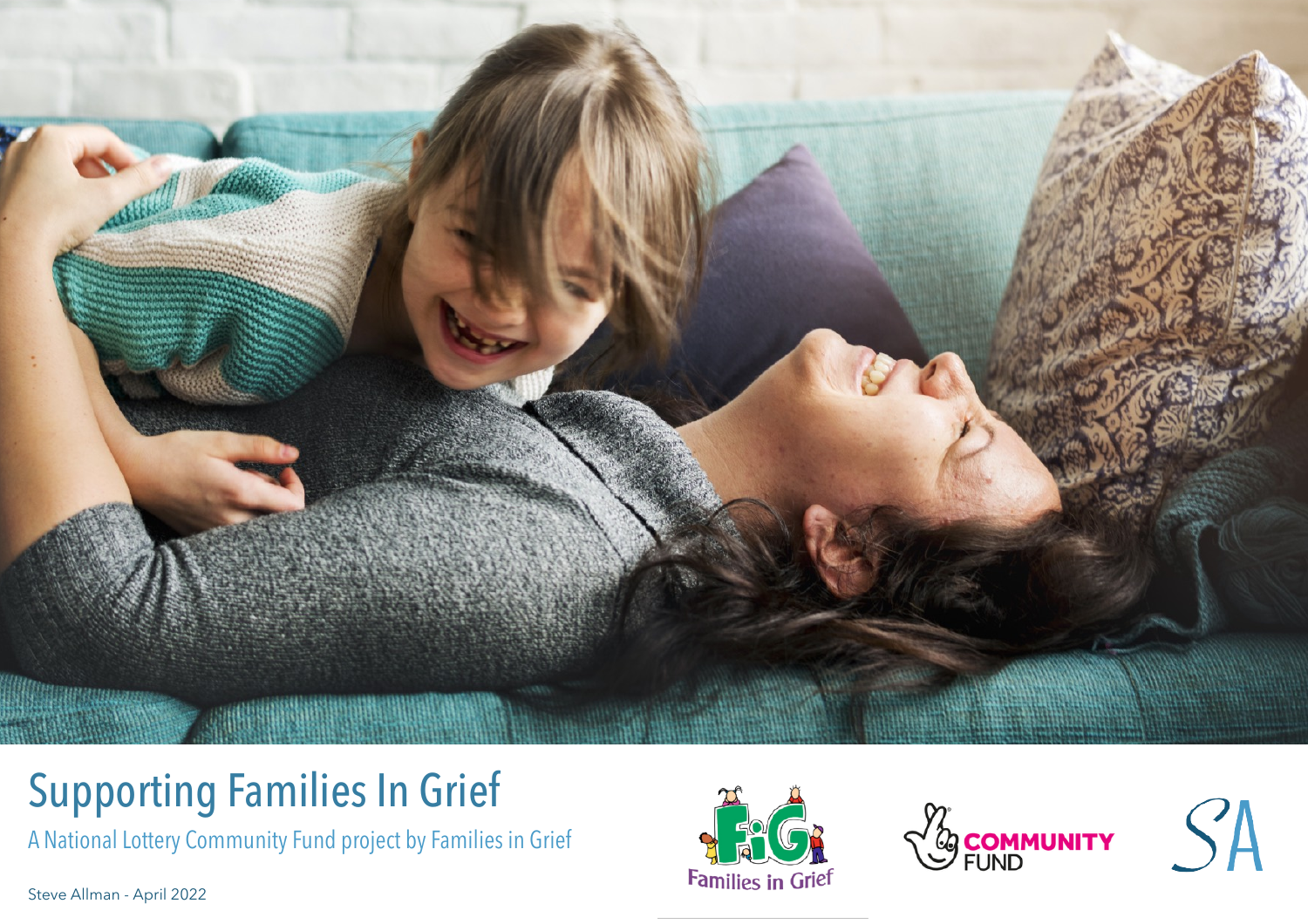

# Supporting Families In Grief

A National Lottery Community Fund project by Families in Grief

Steve Allman - April 2022





SA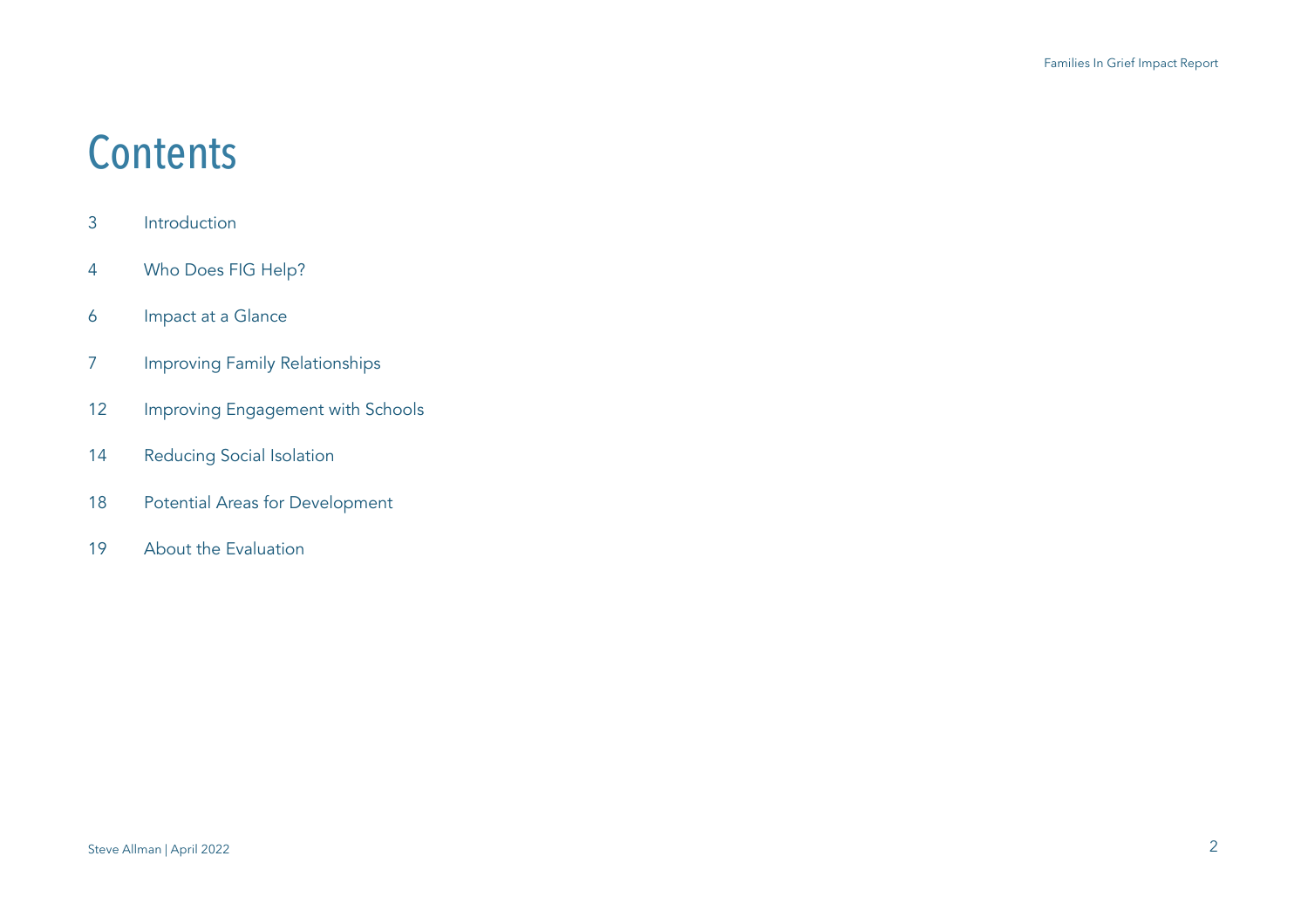## **Contents**

- 3 Introduction
- 4 Who Does FIG Help?
- 6 Impact at a Glance
- 7 Improving Family Relationships
- 12 Improving Engagement with Schools
- 14 Reducing Social Isolation
- 18 Potential Areas for Development
- 19 About the Evaluation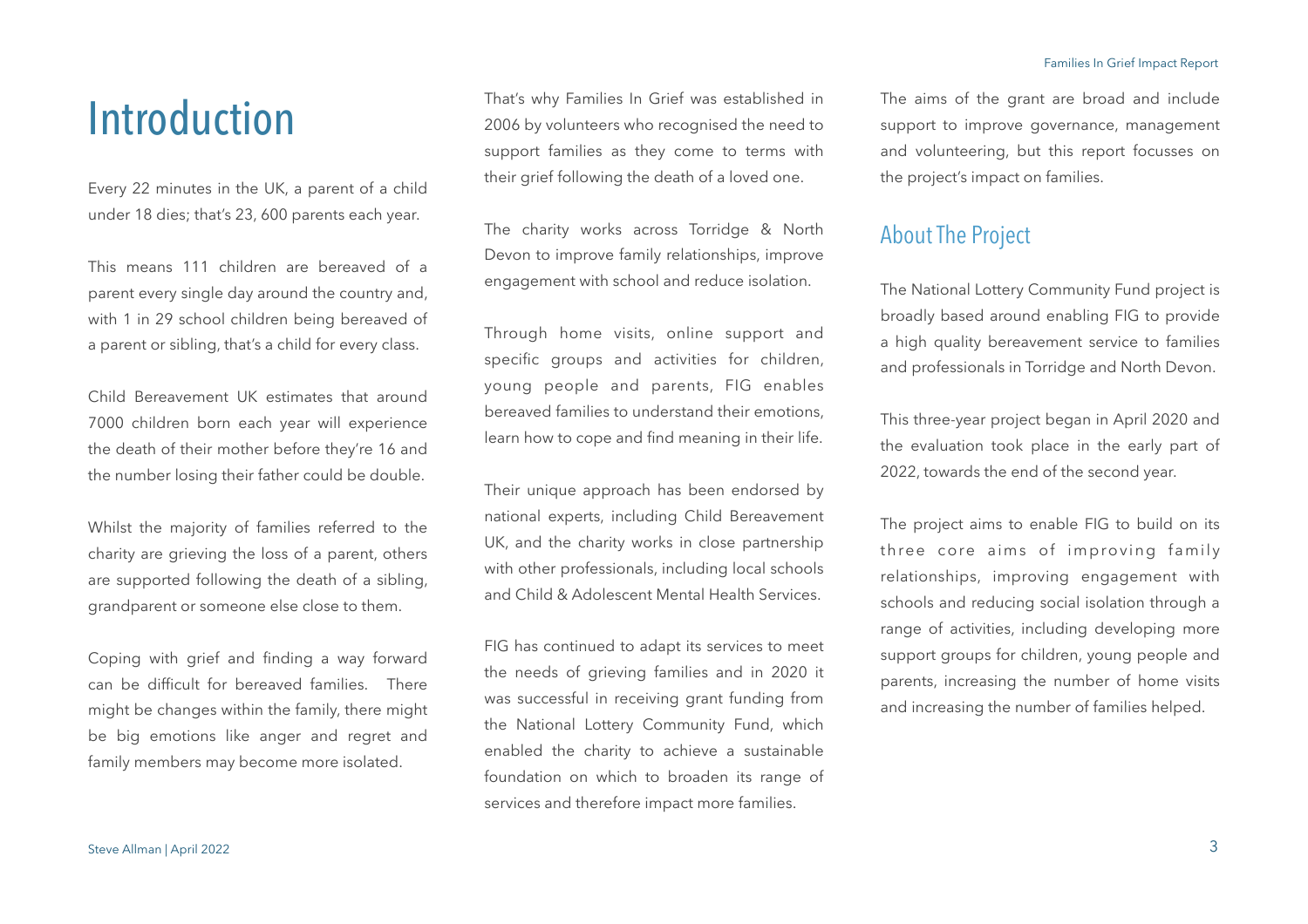## Introduction

Every 22 minutes in the UK, a parent of a child under 18 dies; that's 23, 600 parents each year.

This means 111 children are bereaved of a parent every single day around the country and, with 1 in 29 school children being bereaved of a parent or sibling, that's a child for every class.

Child Bereavement UK estimates that around 7000 children born each year will experience the death of their mother before they're 16 and the number losing their father could be double.

Whilst the majority of families referred to the charity are grieving the loss of a parent, others are supported following the death of a sibling, grandparent or someone else close to them.

Coping with grief and finding a way forward can be difficult for bereaved families. There might be changes within the family, there might be big emotions like anger and regret and family members may become more isolated.

That's why Families In Grief was established in 2006 by volunteers who recognised the need to support families as they come to terms with their grief following the death of a loved one.

The charity works across Torridge & North Devon to improve family relationships, improve engagement with school and reduce isolation.

Through home visits, online support and specific groups and activities for children, young people and parents, FIG enables bereaved families to understand their emotions, learn how to cope and find meaning in their life.

Their unique approach has been endorsed by national experts, including Child Bereavement UK, and the charity works in close partnership with other professionals, including local schools and Child & Adolescent Mental Health Services.

FIG has continued to adapt its services to meet the needs of grieving families and in 2020 it was successful in receiving grant funding from the National Lottery Community Fund, which enabled the charity to achieve a sustainable foundation on which to broaden its range of services and therefore impact more families.

The aims of the grant are broad and include support to improve governance, management and volunteering, but this report focusses on the project's impact on families.

### About The Project

The National Lottery Community Fund project is broadly based around enabling FIG to provide a high quality bereavement service to families and professionals in Torridge and North Devon.

This three-year project began in April 2020 and the evaluation took place in the early part of 2022, towards the end of the second year.

The project aims to enable FIG to build on its three core aims of improving family relationships, improving engagement with schools and reducing social isolation through a range of activities, including developing more support groups for children, young people and parents, increasing the number of home visits and increasing the number of families helped.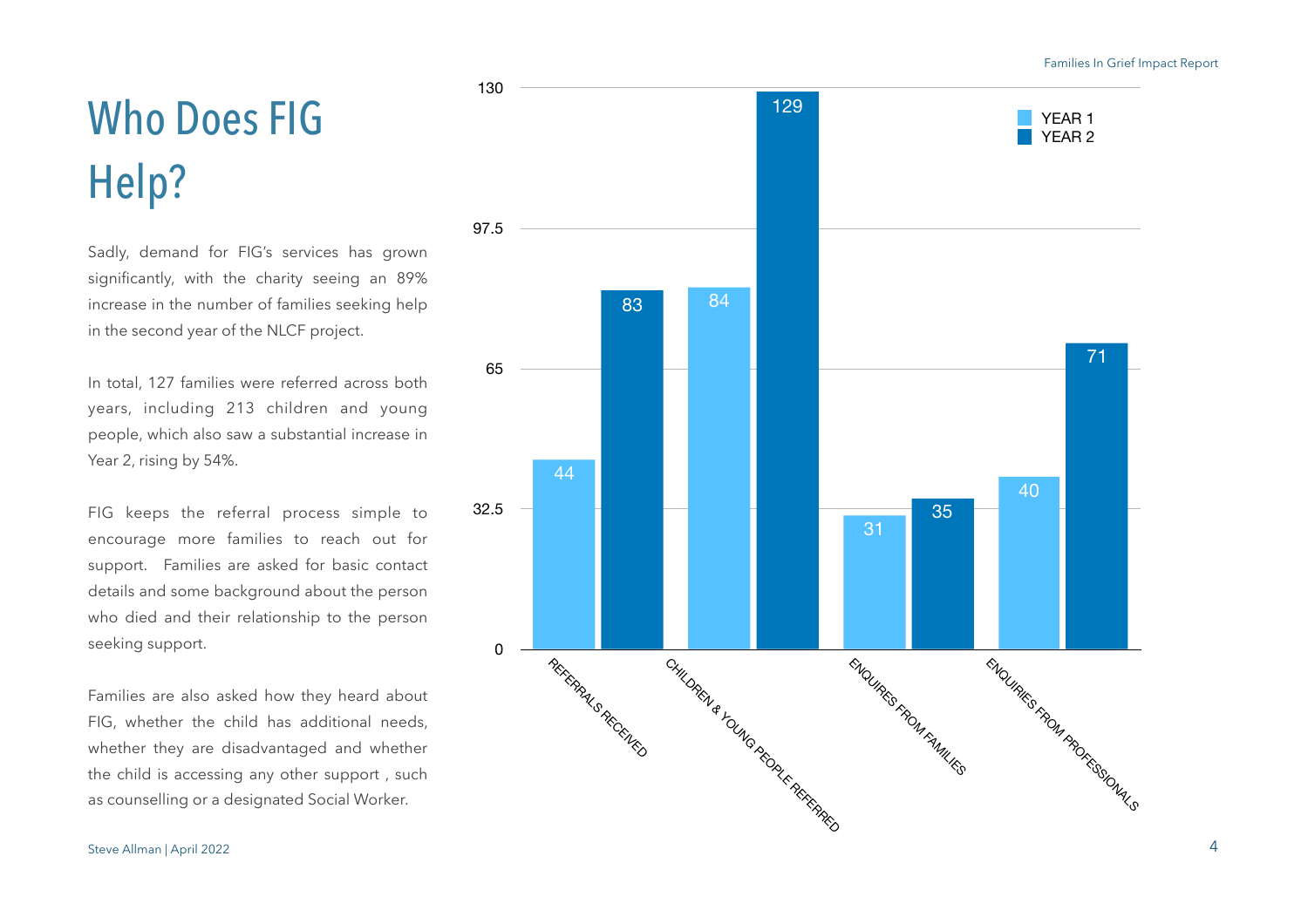#### Families In Grief Impact Report

# Who Does FIG Help?

Sadly, demand for FIG's services has grown significantly, with the charity seeing an 89% increase in the number of families seeking help in the second year of the NLCF project.

In total, 127 families were referred across both years, including 213 children and young people, which also saw a substantial increase in Year 2, rising by 54%.

FIG keeps the referral process simple to encourage more families to reach out for support. Families are asked for basic contact details and some background about the person who died and their relationship to the person seeking support.

Families are also asked how they heard about FIG, whether the child has additional needs, whether they are disadvantaged and whether the child is accessing any other support , such as counselling or a designated Social Worker.

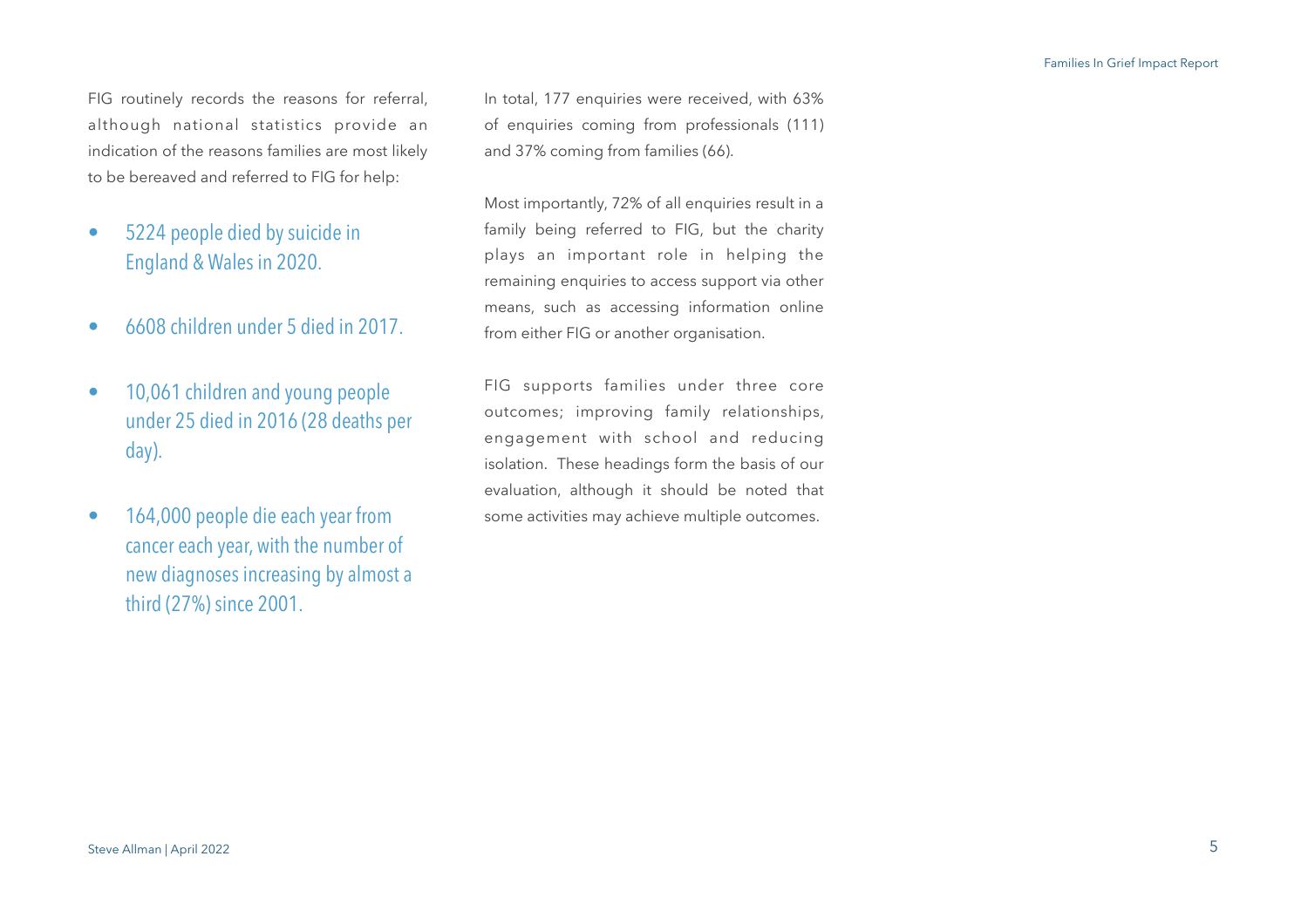FIG routinely records the reasons for referral, although national statistics provide an indication of the reasons families are most likely to be bereaved and referred to FIG for help:

- 5224 people died by suicide in England & Wales in 2020.
- 6608 children under 5 died in 2017.
- 10,061 children and young people under 25 died in 2016 (28 deaths per day).
- 164,000 people die each year from cancer each year, with the number of new diagnoses increasing by almost a third (27%) since 2001.

In total, 177 enquiries were received, with 63% of enquiries coming from professionals (111) and 37% coming from families (66).

Most importantly, 72% of all enquiries result in a family being referred to FIG, but the charity plays an important role in helping the remaining enquiries to access support via other means, such as accessing information online from either FIG or another organisation.

FIG supports families under three core outcomes; improving family relationships, engagement with school and reducing isolation. These headings form the basis of our evaluation, although it should be noted that some activities may achieve multiple outcomes.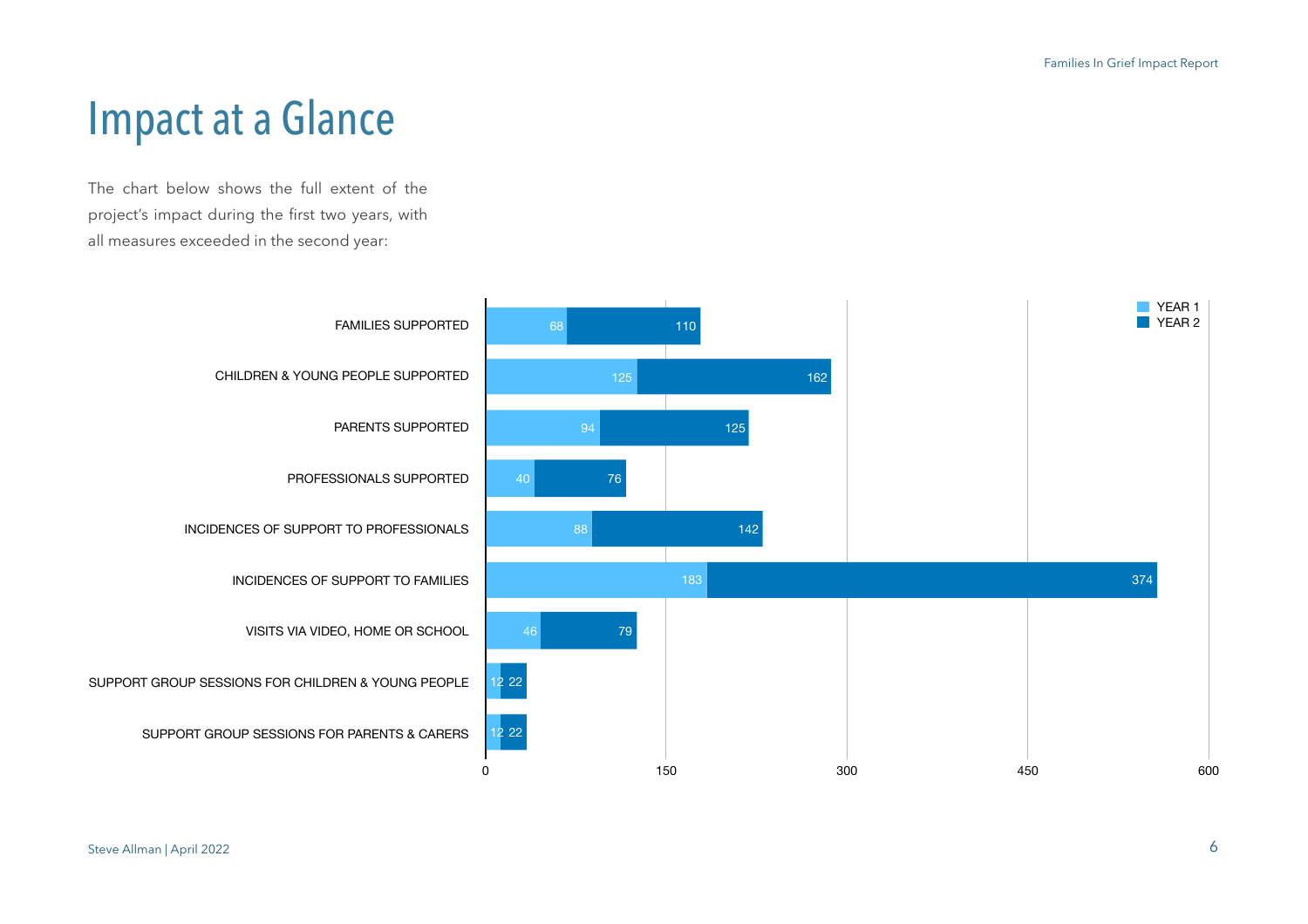## Impact at a Glance

The chart below shows the full extent of the project's impact during the first two years, with all measures exceeded in the second year:

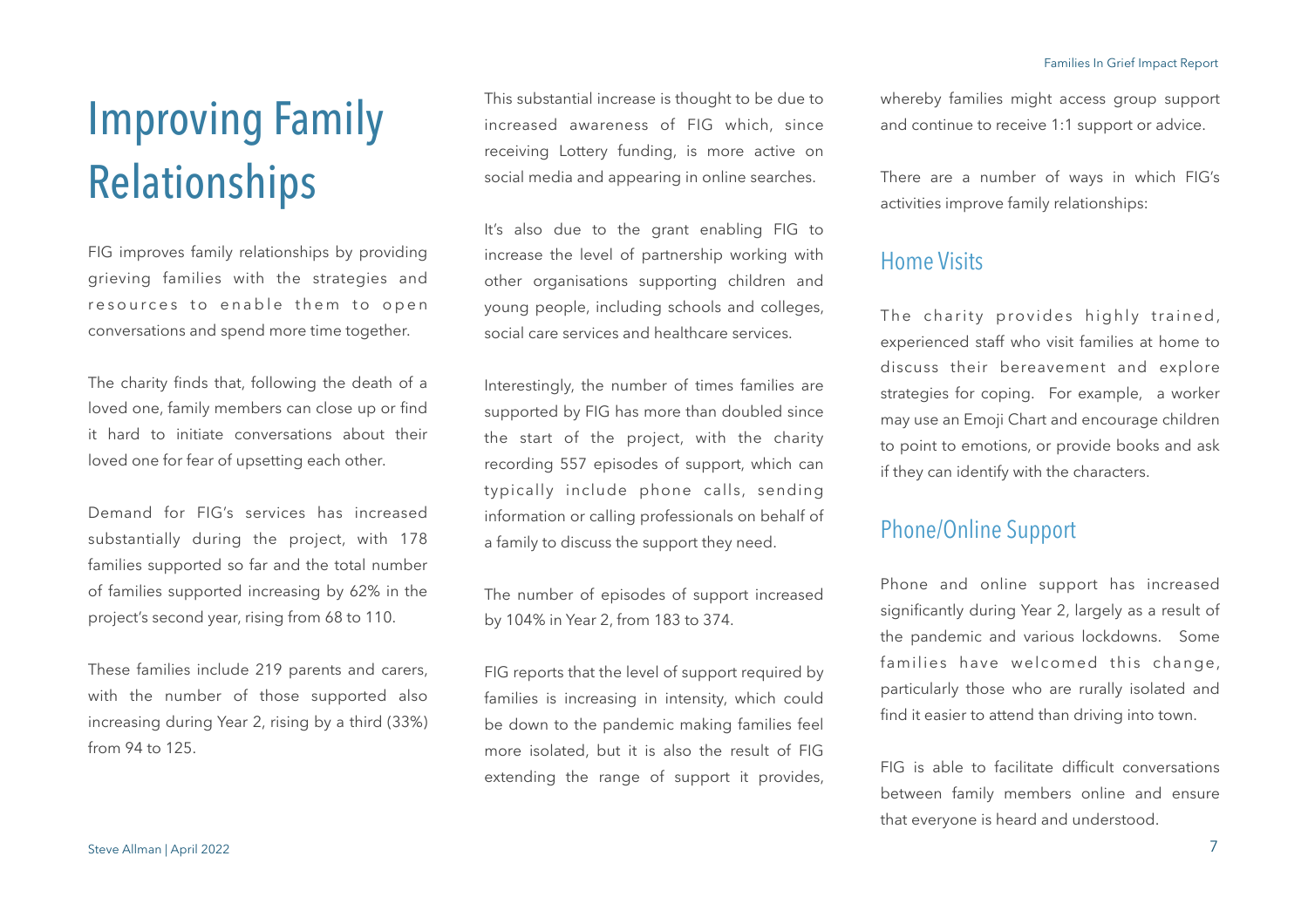# Improving Family Relationships

FIG improves family relationships by providing grieving families with the strategies and resources to enable them to open conversations and spend more time together.

The charity finds that, following the death of a loved one, family members can close up or find it hard to initiate conversations about their loved one for fear of upsetting each other.

Demand for FIG's services has increased substantially during the project, with 178 families supported so far and the total number of families supported increasing by 62% in the project's second year, rising from 68 to 110.

These families include 219 parents and carers, with the number of those supported also increasing during Year 2, rising by a third (33%) from 94 to 125.

This substantial increase is thought to be due to increased awareness of FIG which, since receiving Lottery funding, is more active on social media and appearing in online searches.

It's also due to the grant enabling FIG to increase the level of partnership working with other organisations supporting children and young people, including schools and colleges, social care services and healthcare services.

Interestingly, the number of times families are supported by FIG has more than doubled since the start of the project, with the charity recording 557 episodes of support, which can typically include phone calls, sending information or calling professionals on behalf of a family to discuss the support they need.

The number of episodes of support increased by 104% in Year 2, from 183 to 374.

FIG reports that the level of support required by families is increasing in intensity, which could be down to the pandemic making families feel more isolated, but it is also the result of FIG extending the range of support it provides,

whereby families might access group support and continue to receive 1:1 support or advice.

There are a number of ways in which FIG's activities improve family relationships:

#### Home Visits

The charity provides highly trained, experienced staff who visit families at home to discuss their bereavement and explore strategies for coping. For example, a worker may use an Emoji Chart and encourage children to point to emotions, or provide books and ask if they can identify with the characters.

## Phone/Online Support

Phone and online support has increased significantly during Year 2, largely as a result of the pandemic and various lockdowns. Some families have welcomed this change, particularly those who are rurally isolated and find it easier to attend than driving into town.

FIG is able to facilitate difficult conversations between family members online and ensure that everyone is heard and understood.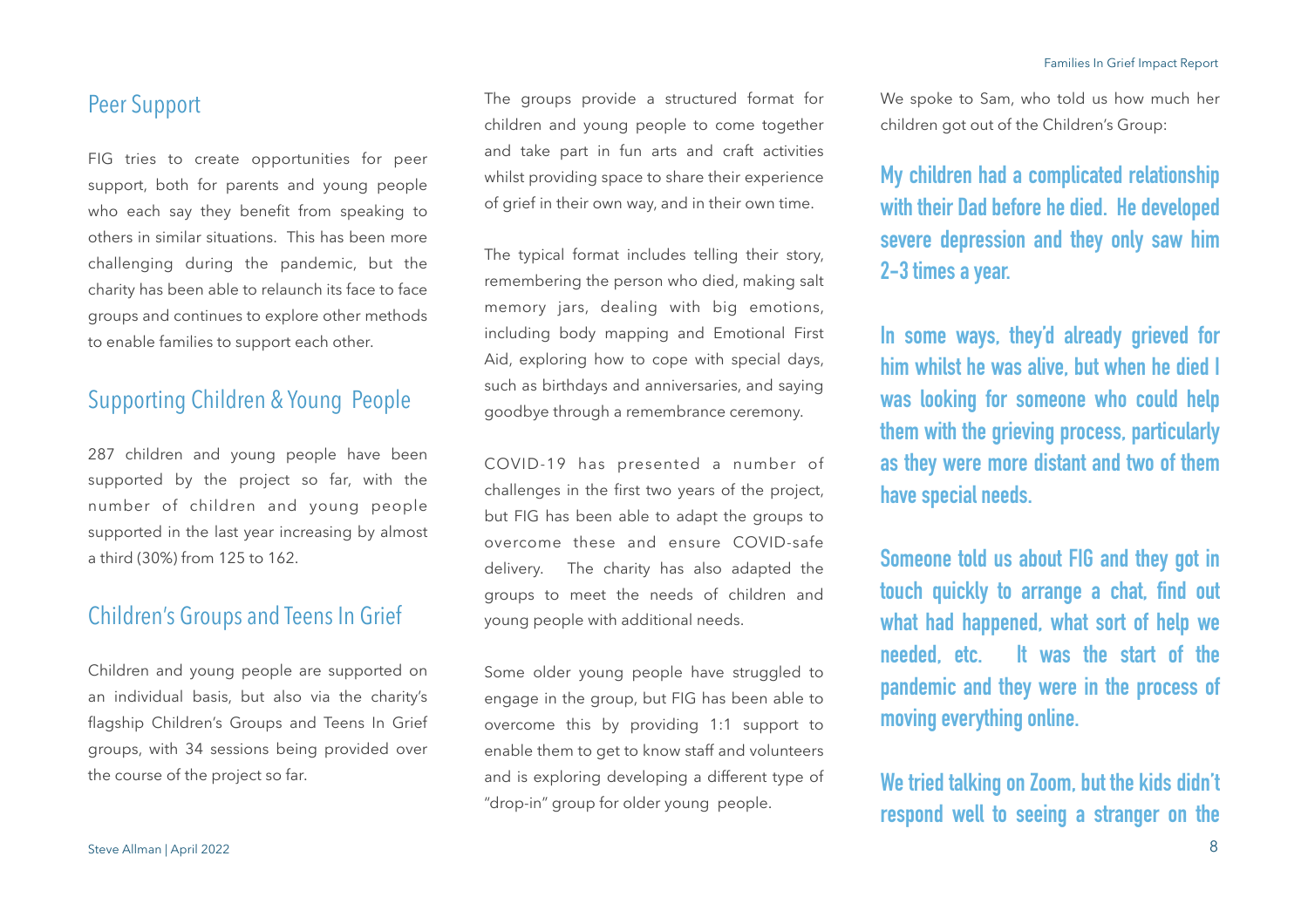#### Peer Support

FIG tries to create opportunities for peer support, both for parents and young people who each say they benefit from speaking to others in similar situations. This has been more challenging during the pandemic, but the charity has been able to relaunch its face to face groups and continues to explore other methods to enable families to support each other.

## Supporting Children & Young People

287 children and young people have been supported by the project so far, with the number of children and young people supported in the last year increasing by almost a third (30%) from 125 to 162.

## Children's Groups and Teens In Grief

Children and young people are supported on an individual basis, but also via the charity's flagship Children's Groups and Teens In Grief groups, with 34 sessions being provided over the course of the project so far.

The groups provide a structured format for children and young people to come together and take part in fun arts and craft activities whilst providing space to share their experience of grief in their own way, and in their own time.

The typical format includes telling their story, remembering the person who died, making salt memory jars, dealing with big emotions, including body mapping and Emotional First Aid, exploring how to cope with special days, such as birthdays and anniversaries, and saying goodbye through a remembrance ceremony.

COVID-19 has presented a number of challenges in the first two years of the project, but FIG has been able to adapt the groups to overcome these and ensure COVID-safe delivery. The charity has also adapted the groups to meet the needs of children and young people with additional needs.

Some older young people have struggled to engage in the group, but FIG has been able to overcome this by providing 1:1 support to enable them to get to know staff and volunteers and is exploring developing a different type of "drop-in" group for older young people.

We spoke to Sam, who told us how much her children got out of the Children's Group:

**My children had a complicated relationship with their Dad before he died. He developed severe depression and they only saw him 2-3 times a year.** 

**In some ways, they'd already grieved for him whilst he was alive, but when he died I was looking for someone who could help them with the grieving process, particularly as they were more distant and two of them have special needs.** 

**Someone told us about FIG and they got in touch quickly to arrange a chat, find out what had happened, what sort of help we needed, etc. It was the start of the pandemic and they were in the process of moving everything online.**

**We tried talking on Zoom, but the kids didn't respond well to seeing a stranger on the**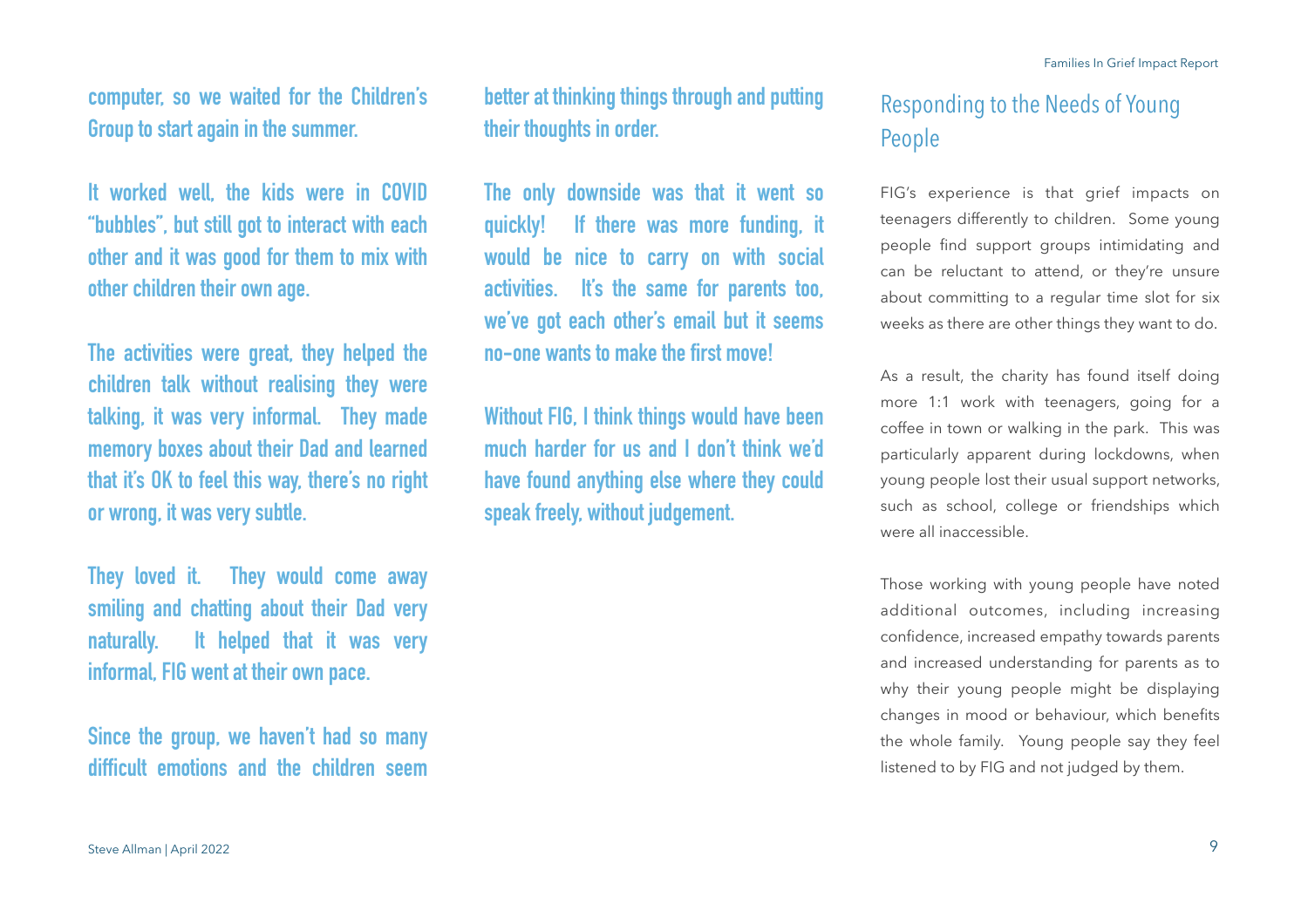**computer, so we waited for the Children's Group to start again in the summer.**

**It worked well, the kids were in COVID "bubbles", but still got to interact with each other and it was good for them to mix with other children their own age.** 

**The activities were great, they helped the children talk without realising they were talking, it was very informal. They made memory boxes about their Dad and learned that it's OK to feel this way, there's no right or wrong, it was very subtle.** 

**They loved it. They would come away smiling and chatting about their Dad very naturally. It helped that it was very informal, FIG went at their own pace.** 

**Since the group, we haven't had so many difficult emotions and the children seem** 

**better at thinking things through and putting their thoughts in order.** 

**The only downside was that it went so quickly! If there was more funding, it would be nice to carry on with social activities. It's the same for parents too, we've got each other's email but it seems no-one wants to make the first move!** 

**Without FIG, I think things would have been much harder for us and I don't think we'd have found anything else where they could speak freely, without judgement.**

## Responding to the Needs of Young People

FIG's experience is that grief impacts on teenagers differently to children. Some young people find support groups intimidating and can be reluctant to attend, or they're unsure about committing to a regular time slot for six weeks as there are other things they want to do.

As a result, the charity has found itself doing more 1:1 work with teenagers, going for a coffee in town or walking in the park. This was particularly apparent during lockdowns, when young people lost their usual support networks, such as school, college or friendships which were all inaccessible.

Those working with young people have noted additional outcomes, including increasing confidence, increased empathy towards parents and increased understanding for parents as to why their young people might be displaying changes in mood or behaviour, which benefits the whole family. Young people say they feel listened to by FIG and not judged by them.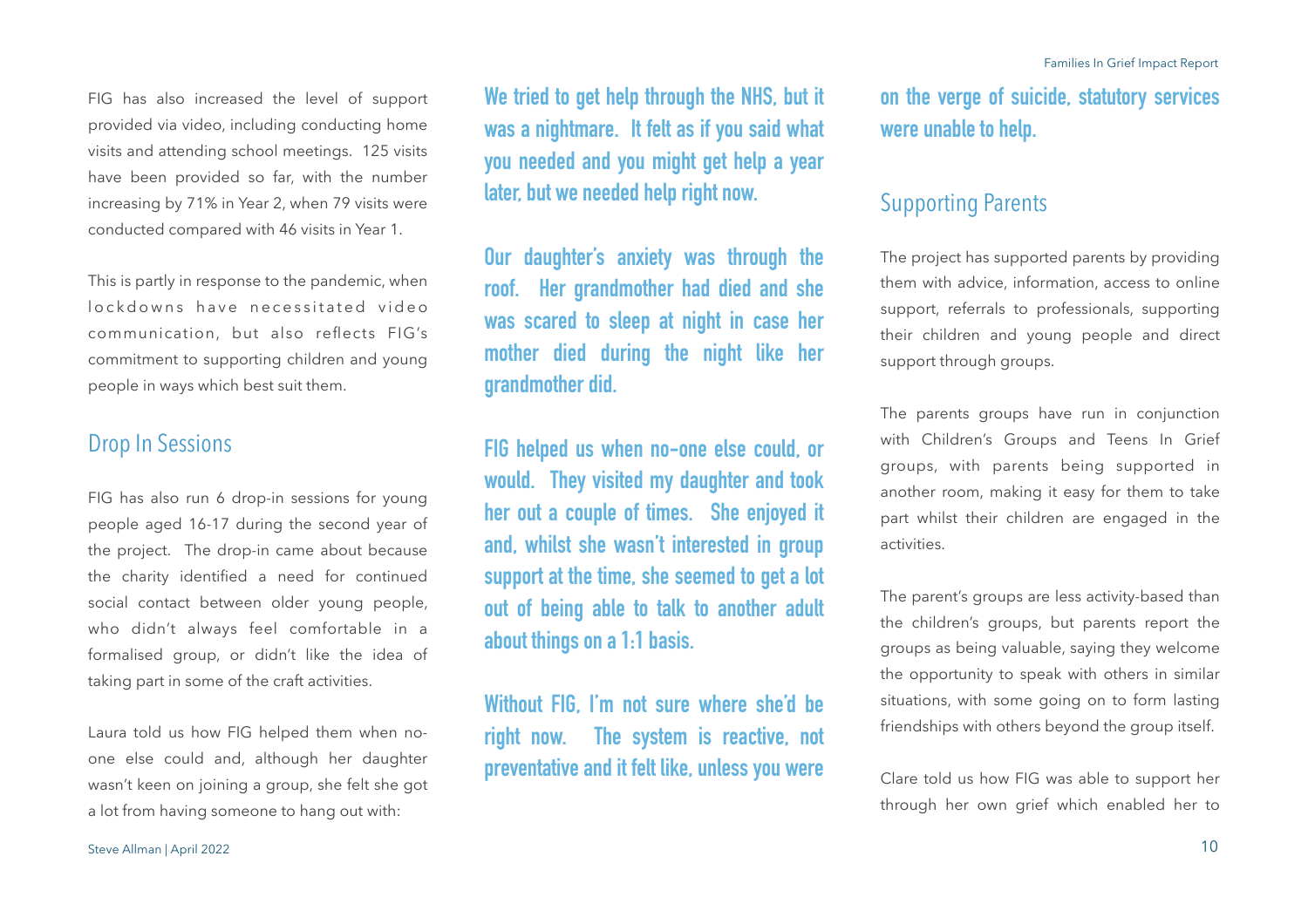FIG has also increased the level of support provided via video, including conducting home visits and attending school meetings. 125 visits have been provided so far, with the number increasing by 71% in Year 2, when 79 visits were conducted compared with 46 visits in Year 1.

This is partly in response to the pandemic, when lockdowns have necessitated video communication, but also reflects FIG's commitment to supporting children and young people in ways which best suit them.

#### Drop In Sessions

FIG has also run 6 drop-in sessions for young people aged 16-17 during the second year of the project. The drop-in came about because the charity identified a need for continued social contact between older young people, who didn't always feel comfortable in a formalised group, or didn't like the idea of taking part in some of the craft activities.

Laura told us how FIG helped them when noone else could and, although her daughter wasn't keen on joining a group, she felt she got a lot from having someone to hang out with:

**We tried to get help through the NHS, but it was a nightmare. It felt as if you said what you needed and you might get help a year later, but we needed help right now.** 

**Our daughter's anxiety was through the roof. Her grandmother had died and she was scared to sleep at night in case her mother died during the night like her grandmother did.** 

**FIG helped us when no-one else could, or would. They visited my daughter and took her out a couple of times. She enjoyed it and, whilst she wasn't interested in group support at the time, she seemed to get a lot out of being able to talk to another adult about things on a 1:1 basis.** 

**Without FIG, I'm not sure where she'd be right now. The system is reactive, not preventative and it felt like, unless you were** 

**on the verge of suicide, statutory services were unable to help.** 

### Supporting Parents

The project has supported parents by providing them with advice, information, access to online support, referrals to professionals, supporting their children and young people and direct support through groups.

The parents groups have run in conjunction with Children's Groups and Teens In Grief groups, with parents being supported in another room, making it easy for them to take part whilst their children are engaged in the activities.

The parent's groups are less activity-based than the children's groups, but parents report the groups as being valuable, saying they welcome the opportunity to speak with others in similar situations, with some going on to form lasting friendships with others beyond the group itself.

Clare told us how FIG was able to support her through her own grief which enabled her to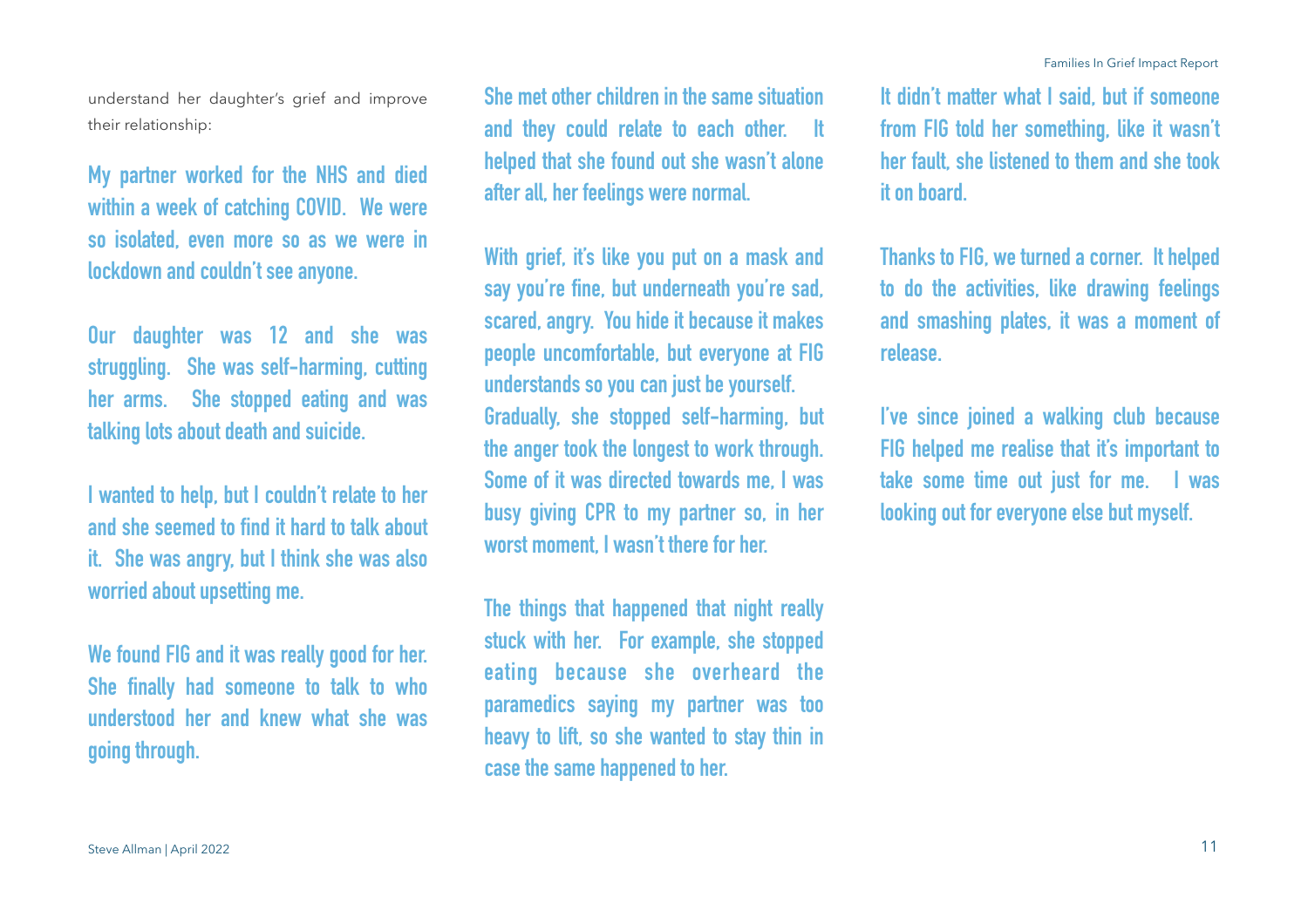their relationship:

understand her daughter's grief and improve

**My partner worked for the NHS and died within a week of catching COVID. We were so isolated, even more so as we were in lockdown and couldn't see anyone.**

**Our daughter was 12 and she was struggling. She was self-harming, cutting her arms. She stopped eating and was talking lots about death and suicide.**

**I wanted to help, but I couldn't relate to her and she seemed to find it hard to talk about it. She was angry, but I think she was also worried about upsetting me.** 

**We found FIG and it was really good for her. She finally had someone to talk to who understood her and knew what she was going through.**

**She met other children in the same situation and they could relate to each other. It helped that she found out she wasn't alone after all, her feelings were normal.** 

**With grief, it's like you put on a mask and say you're fine, but underneath you're sad, scared, angry. You hide it because it makes people uncomfortable, but everyone at FIG understands so you can just be yourself. Gradually, she stopped self-harming, but the anger took the longest to work through. Some of it was directed towards me, I was busy giving CPR to my partner so, in her worst moment, I wasn't there for her.**

**The things that happened that night really stuck with her. For example, she stopped eating because she overheard the paramedics saying my partner was too heavy to lift, so she wanted to stay thin in case the same happened to her.** 

**It didn't matter what I said, but if someone from FIG told her something, like it wasn't her fault, she listened to them and she took it on board.**

**Thanks to FIG, we turned a corner. It helped to do the activities, like drawing feelings and smashing plates, it was a moment of release.** 

**I've since joined a walking club because FIG helped me realise that it's important to take some time out just for me. I was looking out for everyone else but myself.**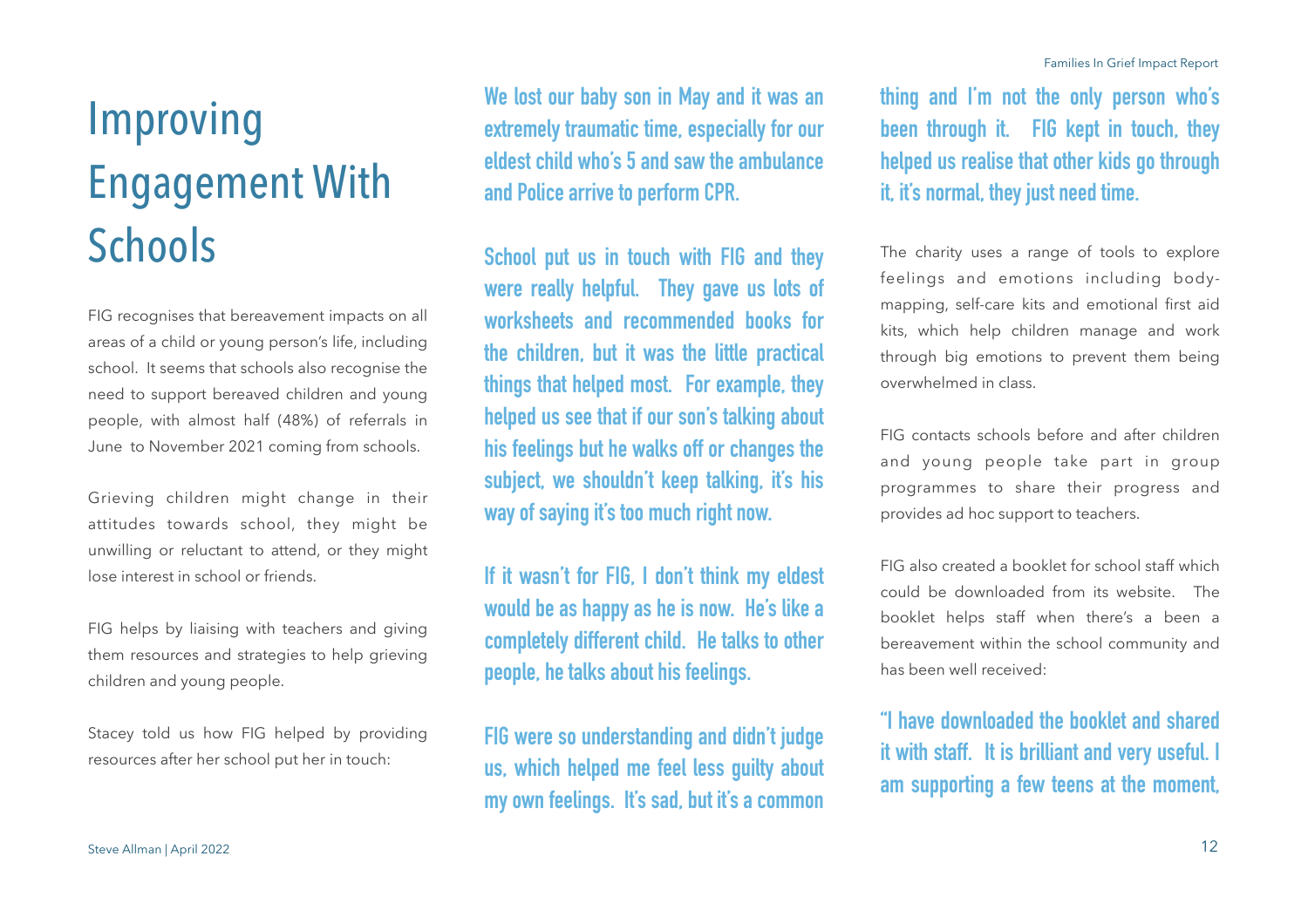# Improving Engagement With **Schools**

FIG recognises that bereavement impacts on all areas of a child or young person's life, including school. It seems that schools also recognise the need to support bereaved children and young people, with almost half (48%) of referrals in June to November 2021 coming from schools.

Grieving children might change in their attitudes towards school, they might be unwilling or reluctant to attend, or they might lose interest in school or friends.

FIG helps by liaising with teachers and giving them resources and strategies to help grieving children and young people.

Stacey told us how FIG helped by providing resources after her school put her in touch:

**We lost our baby son in May and it was an extremely traumatic time, especially for our eldest child who's 5 and saw the ambulance and Police arrive to perform CPR.**

**School put us in touch with FIG and they were really helpful. They gave us lots of worksheets and recommended books for the children, but it was the little practical things that helped most. For example, they helped us see that if our son's talking about his feelings but he walks off or changes the subject, we shouldn't keep talking, it's his way of saying it's too much right now.** 

**If it wasn't for FIG, I don't think my eldest would be as happy as he is now. He's like a completely different child. He talks to other people, he talks about his feelings.** 

**FIG were so understanding and didn't judge us, which helped me feel less guilty about my own feelings. It's sad, but it's a common** 

**thing and I'm not the only person who's been through it. FIG kept in touch, they helped us realise that other kids go through it, it's normal, they just need time.**

The charity uses a range of tools to explore feelings and emotions including bodymapping, self-care kits and emotional first aid kits, which help children manage and work through big emotions to prevent them being overwhelmed in class.

FIG contacts schools before and after children and young people take part in group programmes to share their progress and provides ad hoc support to teachers.

FIG also created a booklet for school staff which could be downloaded from its website. The booklet helps staff when there's a been a bereavement within the school community and has been well received:

**"I have downloaded the booklet and shared it with staff. It is brilliant and very useful. I am supporting a few teens at the moment,**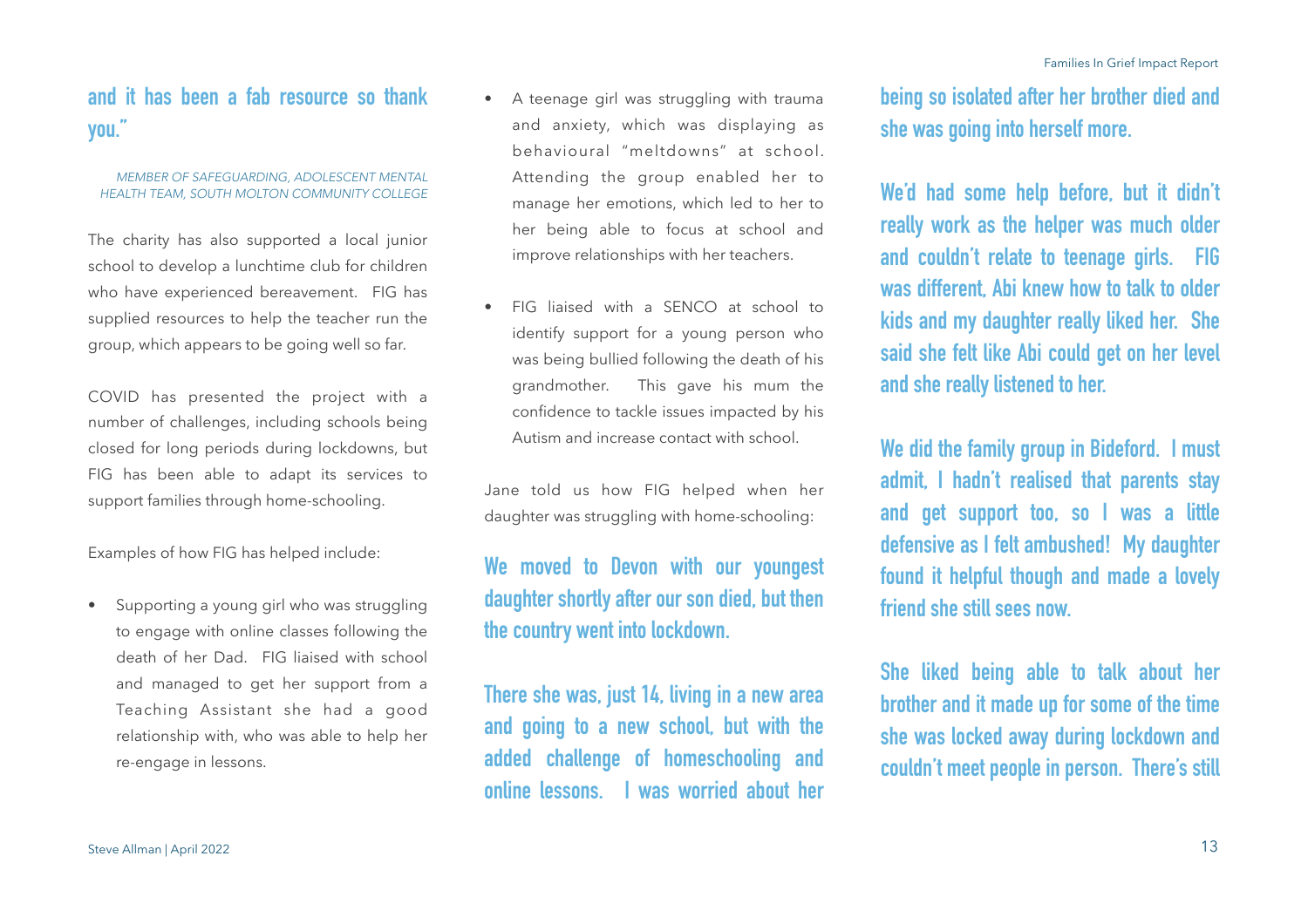## **and it has been a fab resource so thank you."**

#### *MEMBER OF SAFEGUARDING, ADOLESCENT MENTAL HEALTH TEAM, SOUTH MOLTON COMMUNITY COLLEGE*

The charity has also supported a local junior school to develop a lunchtime club for children who have experienced bereavement. FIG has supplied resources to help the teacher run the group, which appears to be going well so far.

COVID has presented the project with a number of challenges, including schools being closed for long periods during lockdowns, but FIG has been able to adapt its services to support families through home-schooling.

Examples of how FIG has helped include:

• Supporting a young girl who was struggling to engage with online classes following the death of her Dad. FIG liaised with school and managed to get her support from a Teaching Assistant she had a good relationship with, who was able to help her re-engage in lessons.

- A teenage girl was struggling with trauma and anxiety, which was displaying as behavioural "meltdowns" at school. Attending the group enabled her to manage her emotions, which led to her to her being able to focus at school and improve relationships with her teachers.
- FIG liaised with a SENCO at school to identify support for a young person who was being bullied following the death of his grandmother. This gave his mum the confidence to tackle issues impacted by his Autism and increase contact with school.

Jane told us how FIG helped when her daughter was struggling with home-schooling:

## **We moved to Devon with our youngest daughter shortly after our son died, but then the country went into lockdown.**

**There she was, just 14, living in a new area and going to a new school, but with the added challenge of homeschooling and online lessons. I was worried about her** 

**being so isolated after her brother died and she was going into herself more.**

**We'd had some help before, but it didn't really work as the helper was much older and couldn't relate to teenage girls. FIG was different, Abi knew how to talk to older kids and my daughter really liked her. She said she felt like Abi could get on her level and she really listened to her.** 

**We did the family group in Bideford. I must admit, I hadn't realised that parents stay and get support too, so I was a little defensive as I felt ambushed! My daughter found it helpful though and made a lovely friend she still sees now.** 

**She liked being able to talk about her brother and it made up for some of the time she was locked away during lockdown and couldn't meet people in person. There's still**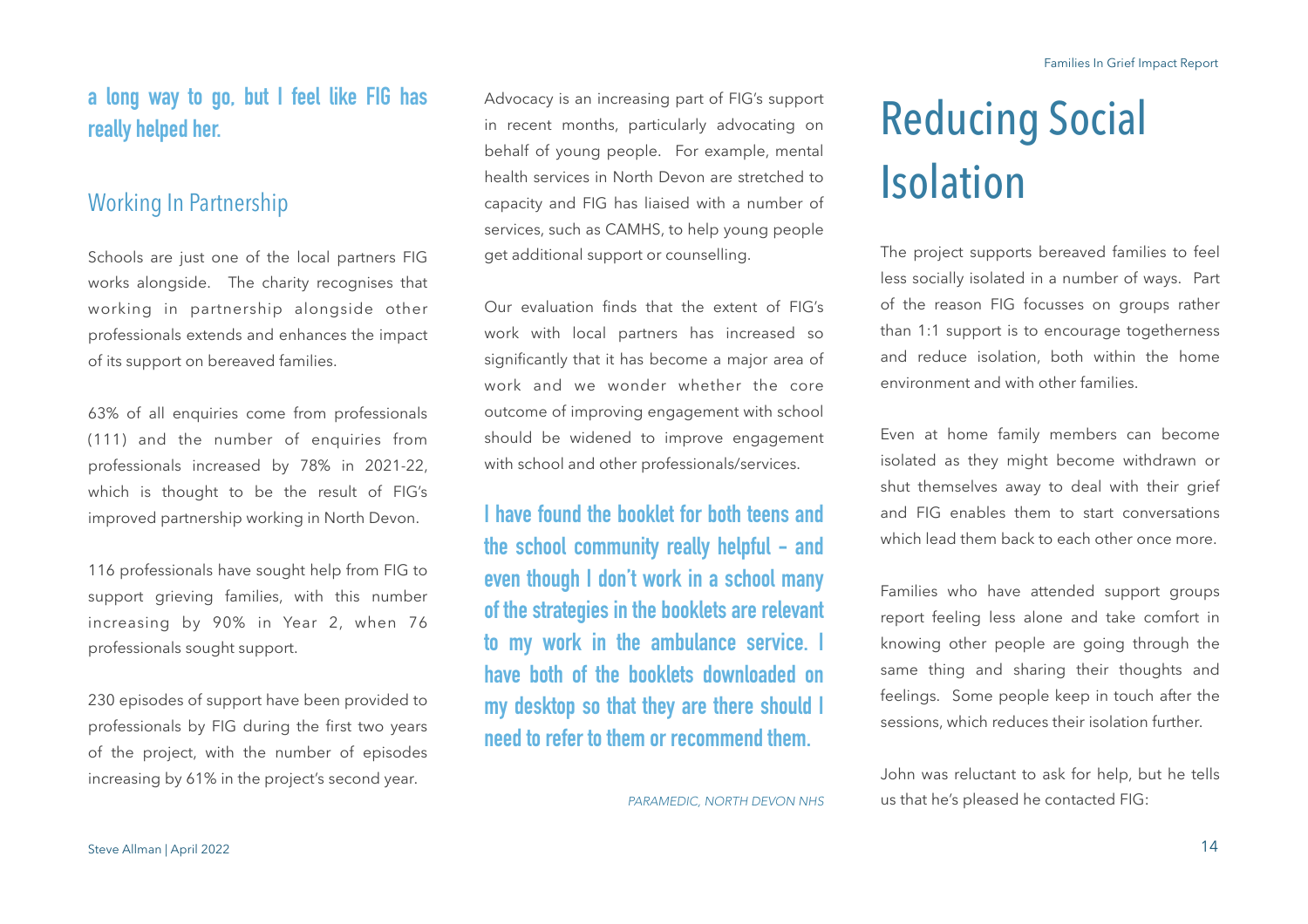## **a long way to go, but I feel like FIG has really helped her.**

### Working In Partnership

Schools are just one of the local partners FIG works alongside. The charity recognises that working in partnership alongside other professionals extends and enhances the impact of its support on bereaved families.

63% of all enquiries come from professionals (111) and the number of enquiries from professionals increased by 78% in 2021-22, which is thought to be the result of FIG's improved partnership working in North Devon.

116 professionals have sought help from FIG to support grieving families, with this number increasing by 90% in Year 2, when 76 professionals sought support.

230 episodes of support have been provided to professionals by FIG during the first two years of the project, with the number of episodes increasing by 61% in the project's second year.

Advocacy is an increasing part of FIG's support in recent months, particularly advocating on behalf of young people. For example, mental health services in North Devon are stretched to capacity and FIG has liaised with a number of services, such as CAMHS, to help young people get additional support or counselling.

Our evaluation finds that the extent of FIG's work with local partners has increased so significantly that it has become a major area of work and we wonder whether the core outcome of improving engagement with school should be widened to improve engagement with school and other professionals/services.

**I have found the booklet for both teens and the school community really helpful - and even though I don't work in a school many of the strategies in the booklets are relevant to my work in the ambulance service. I have both of the booklets downloaded on my desktop so that they are there should I need to refer to them or recommend them.**

## Reducing Social Isolation

The project supports bereaved families to feel less socially isolated in a number of ways. Part of the reason FIG focusses on groups rather than 1:1 support is to encourage togetherness and reduce isolation, both within the home environment and with other families.

Even at home family members can become isolated as they might become withdrawn or shut themselves away to deal with their grief and FIG enables them to start conversations which lead them back to each other once more.

Families who have attended support groups report feeling less alone and take comfort in knowing other people are going through the same thing and sharing their thoughts and feelings. Some people keep in touch after the sessions, which reduces their isolation further.

John was reluctant to ask for help, but he tells us that he's pleased he contacted FIG:

*PARAMEDIC, NORTH DEVON NHS*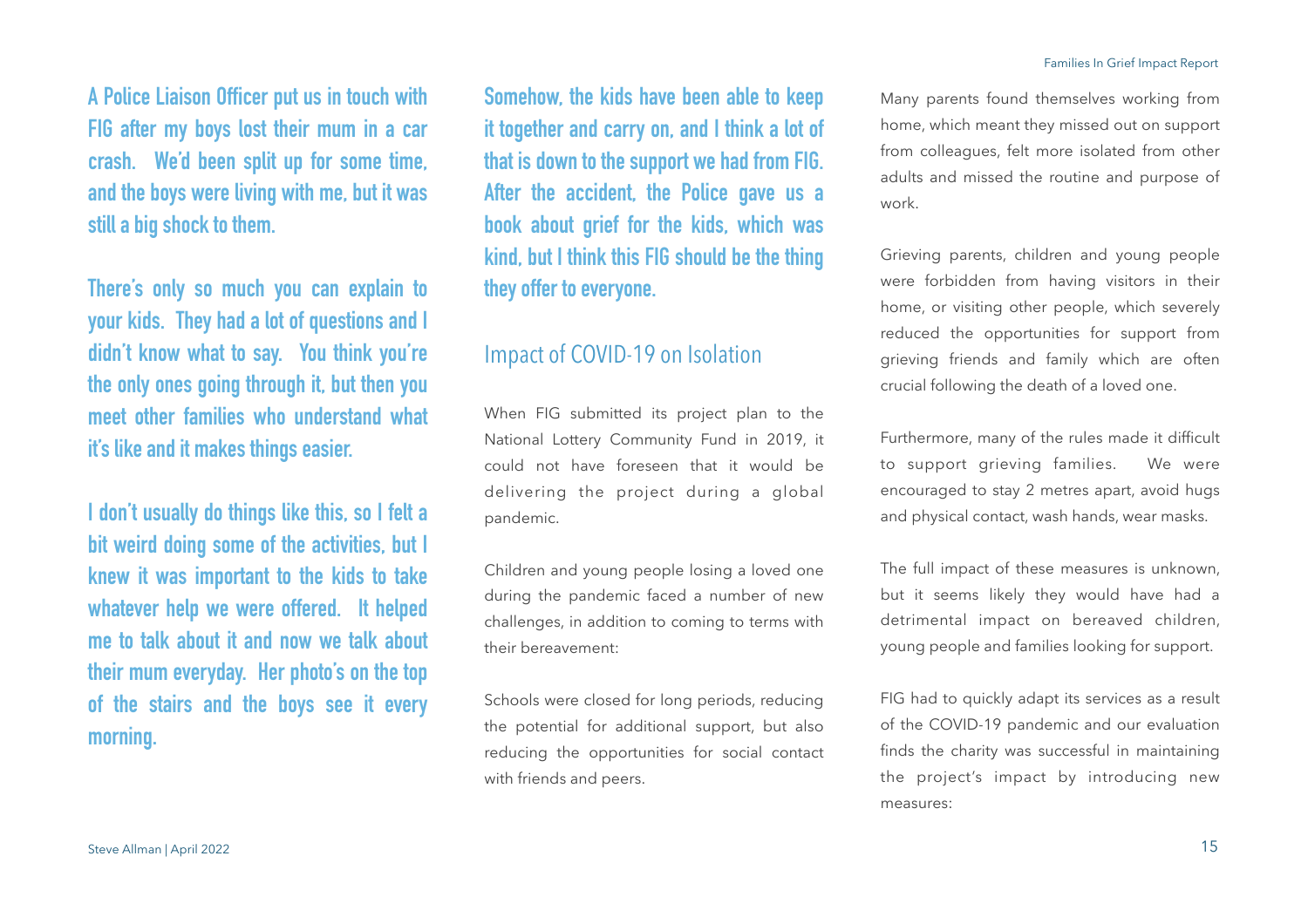**A Police Liaison Officer put us in touch with FIG after my boys lost their mum in a car crash. We'd been split up for some time, and the boys were living with me, but it was still a big shock to them.** 

**There's only so much you can explain to your kids. They had a lot of questions and I didn't know what to say. You think you're the only ones going through it, but then you meet other families who understand what it's like and it makes things easier.** 

**I don't usually do things like this, so I felt a bit weird doing some of the activities, but I knew it was important to the kids to take whatever help we were offered. It helped me to talk about it and now we talk about their mum everyday. Her photo's on the top of the stairs and the boys see it every morning.** 

**Somehow, the kids have been able to keep it together and carry on, and I think a lot of that is down to the support we had from FIG. After the accident, the Police gave us a book about grief for the kids, which was kind, but I think this FIG should be the thing they offer to everyone.** 

## Impact of COVID-19 on Isolation

When FIG submitted its project plan to the National Lottery Community Fund in 2019, it could not have foreseen that it would be delivering the project during a global pandemic.

Children and young people losing a loved one during the pandemic faced a number of new challenges, in addition to coming to terms with their bereavement:

Schools were closed for long periods, reducing the potential for additional support, but also reducing the opportunities for social contact with friends and peers.

Many parents found themselves working from home, which meant they missed out on support from colleagues, felt more isolated from other adults and missed the routine and purpose of work.

Grieving parents, children and young people were forbidden from having visitors in their home, or visiting other people, which severely reduced the opportunities for support from grieving friends and family which are often crucial following the death of a loved one.

Furthermore, many of the rules made it difficult to support grieving families. We were encouraged to stay 2 metres apart, avoid hugs and physical contact, wash hands, wear masks.

The full impact of these measures is unknown, but it seems likely they would have had a detrimental impact on bereaved children, young people and families looking for support.

FIG had to quickly adapt its services as a result of the COVID-19 pandemic and our evaluation finds the charity was successful in maintaining the project's impact by introducing new measures: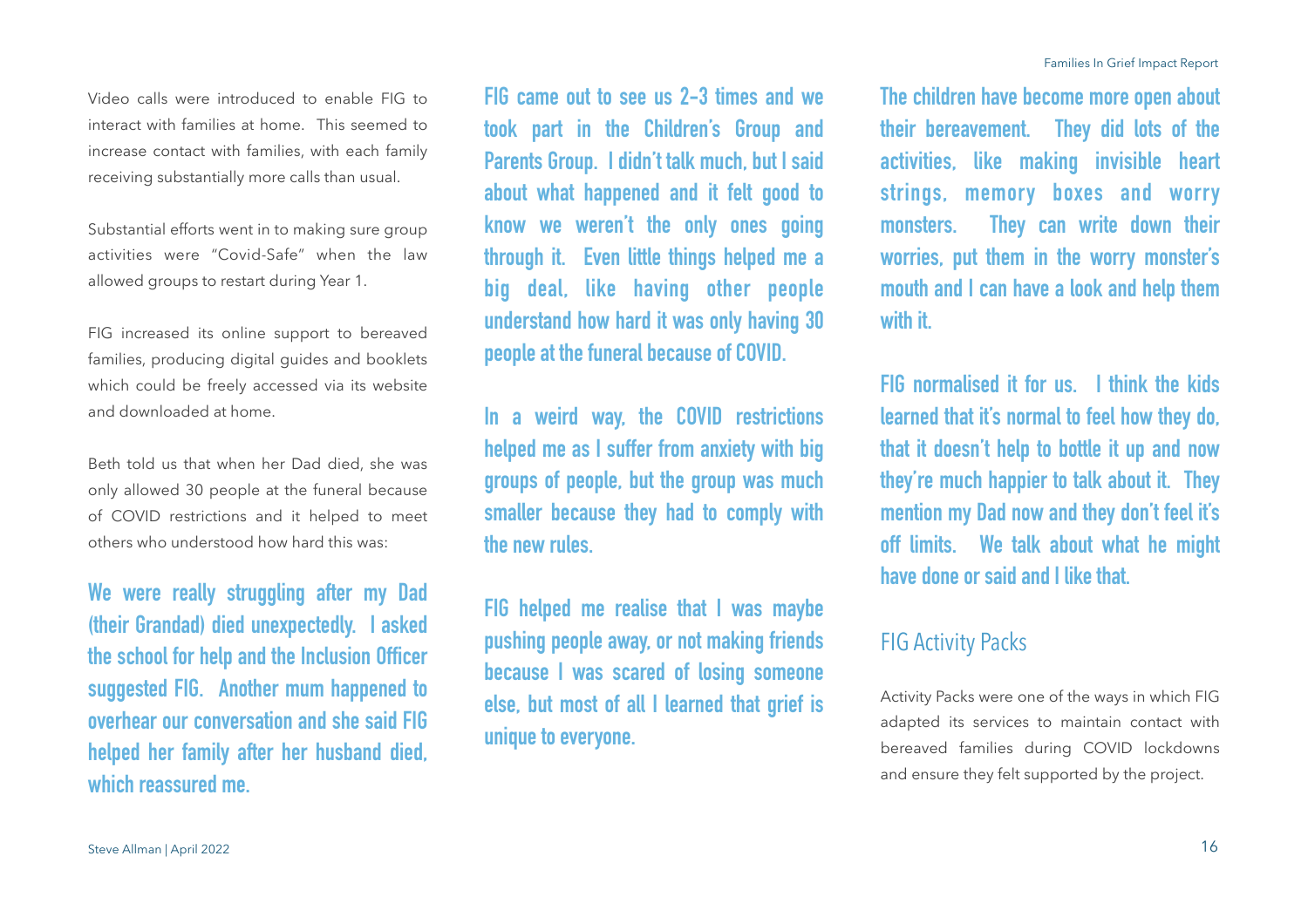Substantial efforts went in to making sure group activities were "Covid-Safe" when the law allowed groups to restart during Year 1.

receiving substantially more calls than usual.

FIG increased its online support to bereaved families, producing digital guides and booklets which could be freely accessed via its website and downloaded at home.

Beth told us that when her Dad died, she was only allowed 30 people at the funeral because of COVID restrictions and it helped to meet others who understood how hard this was:

**We were really struggling after my Dad (their Grandad) died unexpectedly. I asked the school for help and the Inclusion Officer suggested FIG. Another mum happened to overhear our conversation and she said FIG helped her family after her husband died, which reassured me.** 

**FIG came out to see us 2-3 times and we took part in the Children's Group and Parents Group. I didn't talk much, but I said about what happened and it felt good to know we weren't the only ones going through it. Even little things helped me a big deal, like having other people understand how hard it was only having 30 people at the funeral because of COVID.**

**In a weird way, the COVID restrictions helped me as I suffer from anxiety with big groups of people, but the group was much smaller because they had to comply with the new rules.** 

**FIG helped me realise that I was maybe pushing people away, or not making friends because I was scared of losing someone else, but most of all I learned that grief is unique to everyone.** 

**The children have become more open about their bereavement. They did lots of the activities, like making invisible heart strings, memory boxes and worry monsters. They can write down their worries, put them in the worry monster's mouth and I can have a look and help them with it.** 

**FIG normalised it for us. I think the kids learned that it's normal to feel how they do, that it doesn't help to bottle it up and now they're much happier to talk about it. They mention my Dad now and they don't feel it's off limits. We talk about what he might have done or said and I like that.**

## FIG Activity Packs

Activity Packs were one of the ways in which FIG adapted its services to maintain contact with bereaved families during COVID lockdowns and ensure they felt supported by the project.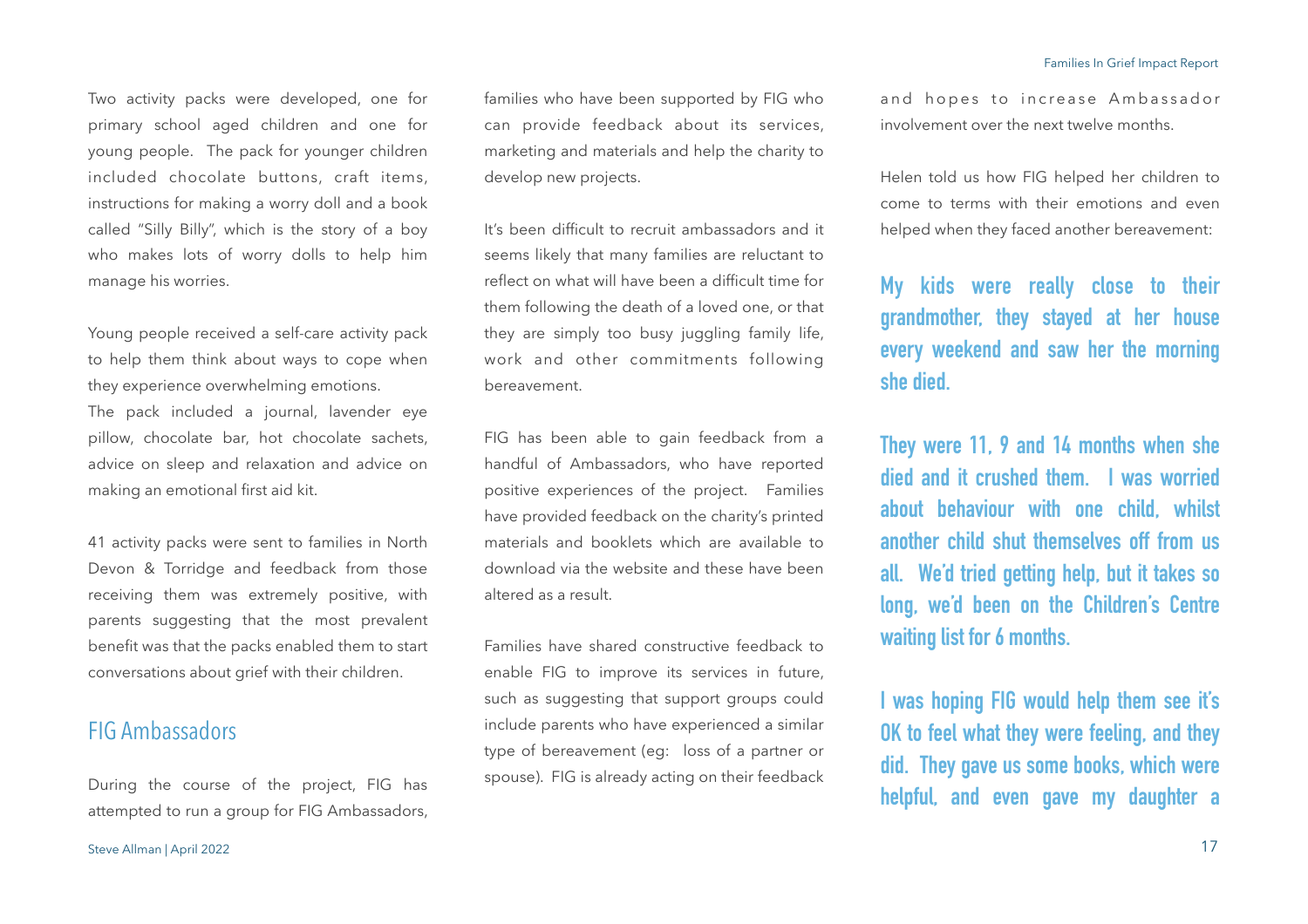Two activity packs were developed, one for primary school aged children and one for young people. The pack for younger children included chocolate buttons, craft items, instructions for making a worry doll and a book called "Silly Billy", which is the story of a boy who makes lots of worry dolls to help him manage his worries.

Young people received a self-care activity pack to help them think about ways to cope when they experience overwhelming emotions. The pack included a journal, lavender eye pillow, chocolate bar, hot chocolate sachets, advice on sleep and relaxation and advice on making an emotional first aid kit.

41 activity packs were sent to families in North Devon & Torridge and feedback from those receiving them was extremely positive, with parents suggesting that the most prevalent benefit was that the packs enabled them to start conversations about grief with their children.

### FIG Ambassadors

During the course of the project, FIG has attempted to run a group for FIG Ambassadors, families who have been supported by FIG who can provide feedback about its services, marketing and materials and help the charity to develop new projects.

It's been difficult to recruit ambassadors and it seems likely that many families are reluctant to reflect on what will have been a difficult time for them following the death of a loved one, or that they are simply too busy juggling family life, work and other commitments following bereavement.

FIG has been able to gain feedback from a handful of Ambassadors, who have reported positive experiences of the project. Families have provided feedback on the charity's printed materials and booklets which are available to download via the website and these have been altered as a result.

Families have shared constructive feedback to enable FIG to improve its services in future, such as suggesting that support groups could include parents who have experienced a similar type of bereavement (eg: loss of a partner or spouse). FIG is already acting on their feedback and hopes to increase Ambassador involvement over the next twelve months.

Helen told us how FIG helped her children to come to terms with their emotions and even helped when they faced another bereavement:

**My kids were really close to their grandmother, they stayed at her house every weekend and saw her the morning she died.** 

**They were 11, 9 and 14 months when she died and it crushed them. I was worried about behaviour with one child, whilst another child shut themselves off from us all. We'd tried getting help, but it takes so long, we'd been on the Children's Centre waiting list for 6 months.** 

**I was hoping FIG would help them see it's OK to feel what they were feeling, and they did. They gave us some books, which were helpful, and even gave my daughter a**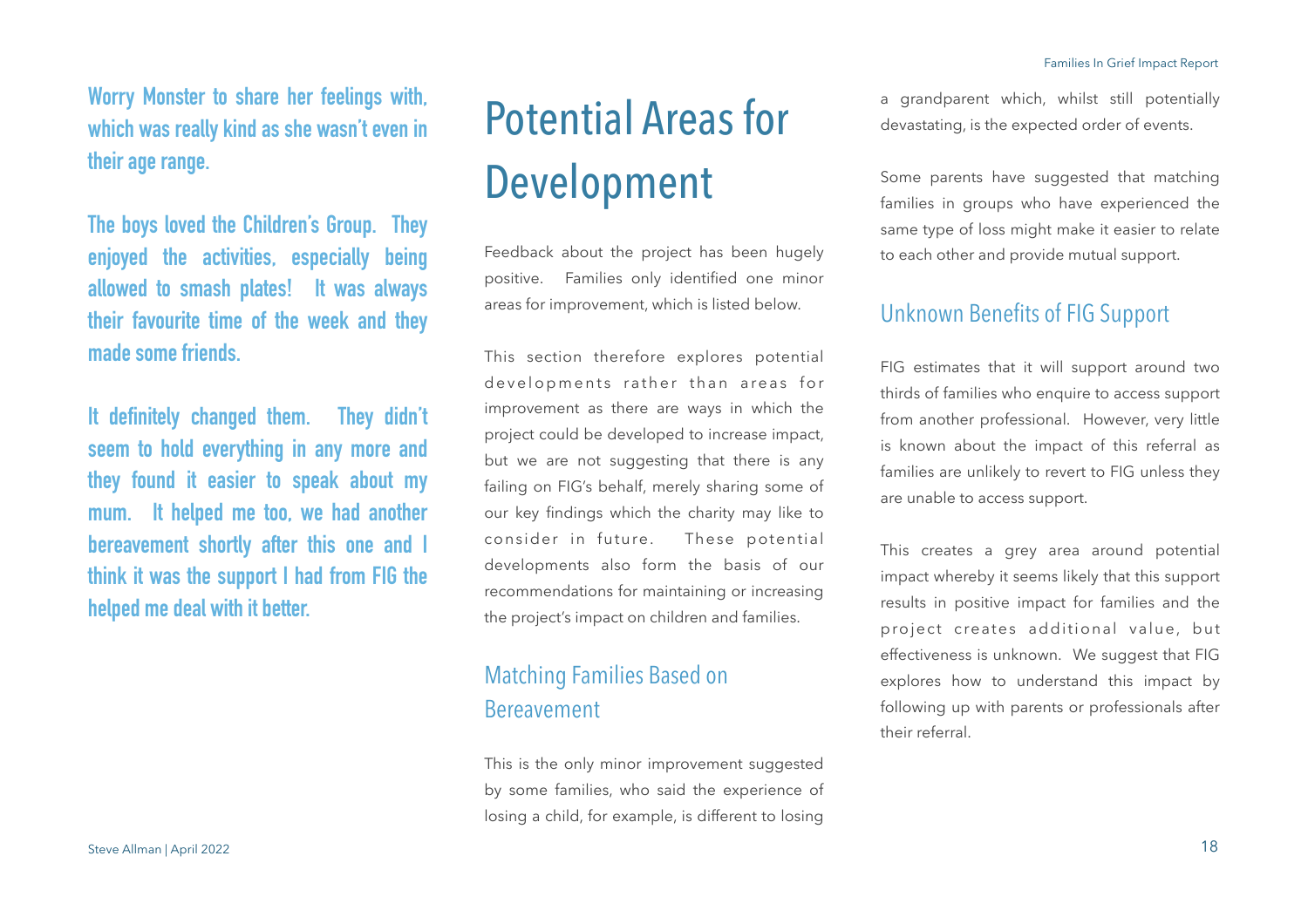**Worry Monster to share her feelings with, which was really kind as she wasn't even in their age range.** 

**The boys loved the Children's Group. They enjoyed the activities, especially being allowed to smash plates! It was always their favourite time of the week and they made some friends.**

**It definitely changed them. They didn't seem to hold everything in any more and they found it easier to speak about my mum. It helped me too, we had another bereavement shortly after this one and I think it was the support I had from FIG the helped me deal with it better.** 

## Potential Areas for Development

Feedback about the project has been hugely positive. Families only identified one minor areas for improvement, which is listed below.

This section therefore explores potential developments rather than areas for improvement as there are ways in which the project could be developed to increase impact, but we are not suggesting that there is any failing on FIG's behalf, merely sharing some of our key findings which the charity may like to consider in future. These potential developments also form the basis of our recommendations for maintaining or increasing the project's impact on children and families.

## Matching Families Based on Bereavement

This is the only minor improvement suggested by some families, who said the experience of losing a child, for example, is different to losing

a grandparent which, whilst still potentially devastating, is the expected order of events.

Some parents have suggested that matching families in groups who have experienced the same type of loss might make it easier to relate to each other and provide mutual support.

## Unknown Benefits of FIG Support

FIG estimates that it will support around two thirds of families who enquire to access support from another professional. However, very little is known about the impact of this referral as families are unlikely to revert to FIG unless they are unable to access support.

This creates a grey area around potential impact whereby it seems likely that this support results in positive impact for families and the project creates additional value, but effectiveness is unknown. We suggest that FIG explores how to understand this impact by following up with parents or professionals after their referral.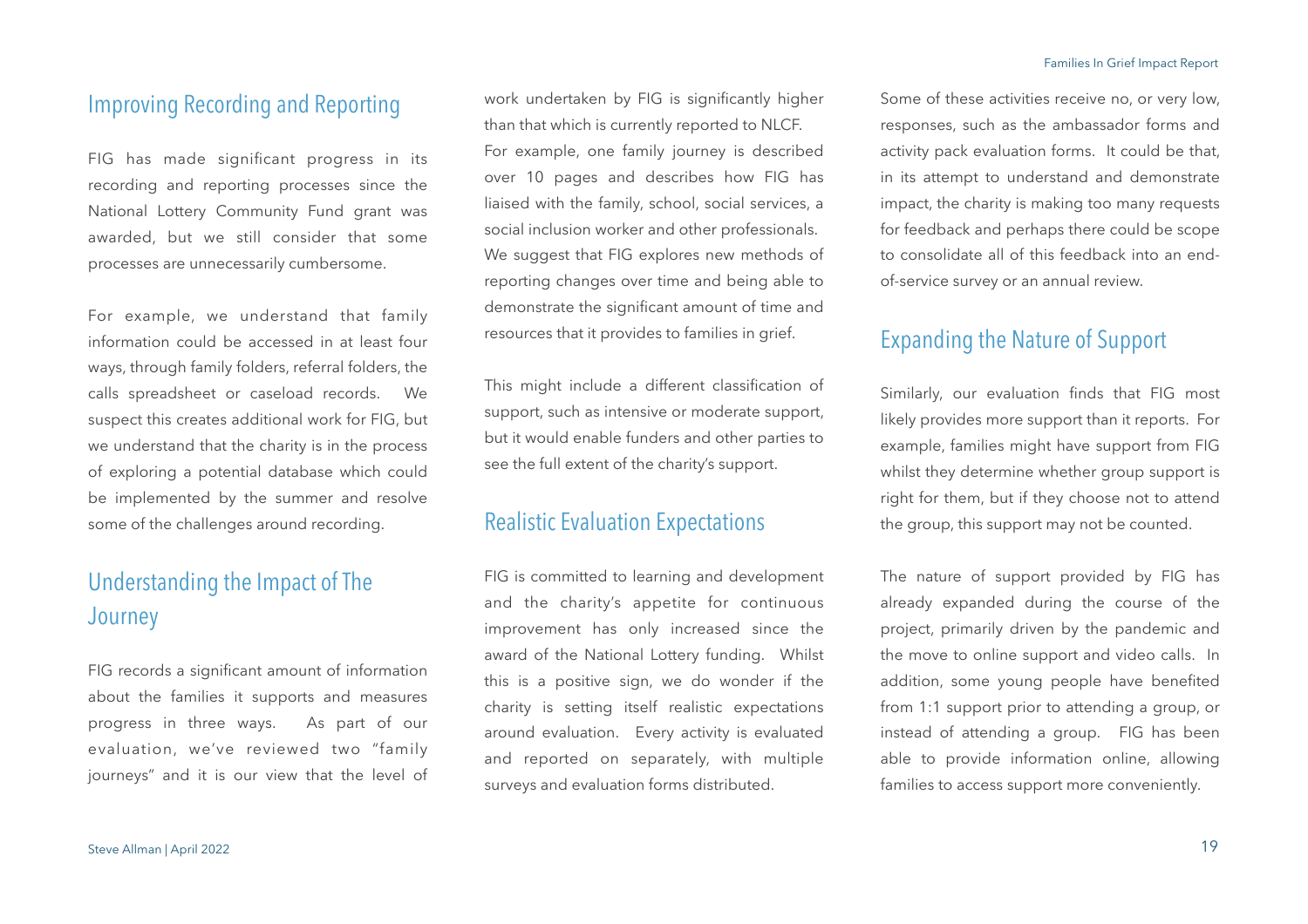### Improving Recording and Reporting

FIG has made significant progress in its recording and reporting processes since the National Lottery Community Fund grant was awarded, but we still consider that some processes are unnecessarily cumbersome.

For example, we understand that family information could be accessed in at least four ways, through family folders, referral folders, the calls spreadsheet or caseload records. We suspect this creates additional work for FIG, but we understand that the charity is in the process of exploring a potential database which could be implemented by the summer and resolve some of the challenges around recording.

## Understanding the Impact of The **Journey**

FIG records a significant amount of information about the families it supports and measures progress in three ways. As part of our evaluation, we've reviewed two "family journeys" and it is our view that the level of work undertaken by FIG is significantly higher than that which is currently reported to NLCF. For example, one family journey is described over 10 pages and describes how FIG has liaised with the family, school, social services, a social inclusion worker and other professionals. We suggest that FIG explores new methods of reporting changes over time and being able to demonstrate the significant amount of time and resources that it provides to families in grief.

This might include a different classification of support, such as intensive or moderate support, but it would enable funders and other parties to see the full extent of the charity's support.

### Realistic Evaluation Expectations

FIG is committed to learning and development and the charity's appetite for continuous improvement has only increased since the award of the National Lottery funding. Whilst this is a positive sign, we do wonder if the charity is setting itself realistic expectations around evaluation. Every activity is evaluated and reported on separately, with multiple surveys and evaluation forms distributed.

Some of these activities receive no, or very low, responses, such as the ambassador forms and activity pack evaluation forms. It could be that, in its attempt to understand and demonstrate impact, the charity is making too many requests for feedback and perhaps there could be scope to consolidate all of this feedback into an endof-service survey or an annual review.

## Expanding the Nature of Support

Similarly, our evaluation finds that FIG most likely provides more support than it reports. For example, families might have support from FIG whilst they determine whether group support is right for them, but if they choose not to attend the group, this support may not be counted.

The nature of support provided by FIG has already expanded during the course of the project, primarily driven by the pandemic and the move to online support and video calls. In addition, some young people have benefited from 1:1 support prior to attending a group, or instead of attending a group. FIG has been able to provide information online, allowing families to access support more conveniently.